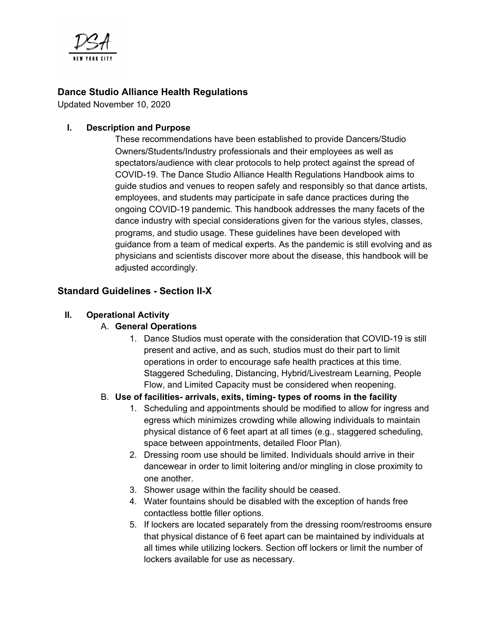

## **Dance Studio Alliance Health Regulations**

Updated November 10, 2020

#### **I. Description and Purpose**

These recommendations have been established to provide Dancers/Studio Owners/Students/Industry professionals and their employees as well as spectators/audience with clear protocols to help protect against the spread of COVID-19. The Dance Studio Alliance Health Regulations Handbook aims to guide studios and venues to reopen safely and responsibly so that dance artists, employees, and students may participate in safe dance practices during the ongoing COVID-19 pandemic. This handbook addresses the many facets of the dance industry with special considerations given for the various styles, classes, programs, and studio usage. These guidelines have been developed with guidance from a team of medical experts. As the pandemic is still evolving and as physicians and scientists discover more about the disease, this handbook will be adjusted accordingly.

## **Standard Guidelines - Section II-X**

#### **II. Operational Activity**

## A. **General Operations**

1. Dance Studios must operate with the consideration that COVID-19 is still present and active, and as such, studios must do their part to limit operations in order to encourage safe health practices at this time. Staggered Scheduling, Distancing, Hybrid/Livestream Learning, People Flow, and Limited Capacity must be considered when reopening.

#### B. **Use of facilities- arrivals, exits, timing- types of rooms in the facility**

- 1. Scheduling and appointments should be modified to allow for ingress and egress which minimizes crowding while allowing individuals to maintain physical distance of 6 feet apart at all times (e.g., staggered scheduling, space between appointments, detailed Floor Plan).
- 2. Dressing room use should be limited. Individuals should arrive in their dancewear in order to limit loitering and/or mingling in close proximity to one another.
- 3. Shower usage within the facility should be ceased.
- 4. Water fountains should be disabled with the exception of hands free contactless bottle filler options.
- 5. If lockers are located separately from the dressing room/restrooms ensure that physical distance of 6 feet apart can be maintained by individuals at all times while utilizing lockers. Section off lockers or limit the number of lockers available for use as necessary.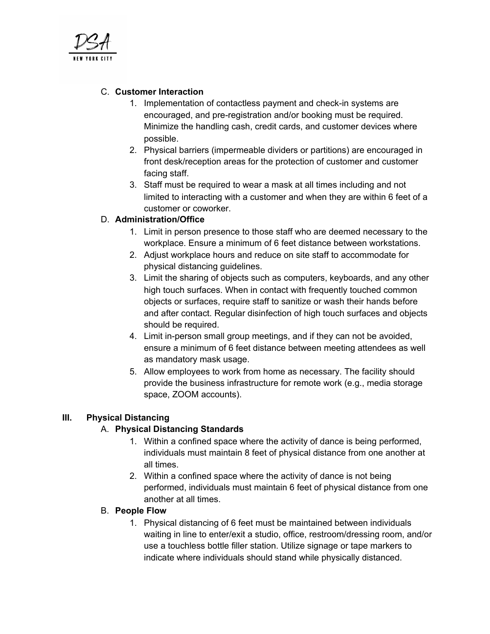

## C. **Customer Interaction**

- 1. Implementation of contactless payment and check-in systems are encouraged, and pre-registration and/or booking must be required. Minimize the handling cash, credit cards, and customer devices where possible.
- 2. Physical barriers (impermeable dividers or partitions) are encouraged in front desk/reception areas for the protection of customer and customer facing staff.
- 3. Staff must be required to wear a mask at all times including and not limited to interacting with a customer and when they are within 6 feet of a customer or coworker.

## D. **Administration/Office**

- 1. Limit in person presence to those staff who are deemed necessary to the workplace. Ensure a minimum of 6 feet distance between workstations.
- 2. Adjust workplace hours and reduce on site staff to accommodate for physical distancing guidelines.
- 3. Limit the sharing of objects such as computers, keyboards, and any other high touch surfaces. When in contact with frequently touched common objects or surfaces, require staff to sanitize or wash their hands before and after contact. Regular disinfection of high touch surfaces and objects should be required.
- 4. Limit in-person small group meetings, and if they can not be avoided, ensure a minimum of 6 feet distance between meeting attendees as well as mandatory mask usage.
- 5. Allow employees to work from home as necessary. The facility should provide the business infrastructure for remote work (e.g., media storage space, ZOOM accounts).

## **III. Physical Distancing**

## A. **Physical Distancing Standards**

- 1. Within a confined space where the activity of dance is being performed, individuals must maintain 8 feet of physical distance from one another at all times.
- 2. Within a confined space where the activity of dance is not being performed, individuals must maintain 6 feet of physical distance from one another at all times.

## B. **People Flow**

1. Physical distancing of 6 feet must be maintained between individuals waiting in line to enter/exit a studio, office, restroom/dressing room, and/or use a touchless bottle filler station. Utilize signage or tape markers to indicate where individuals should stand while physically distanced.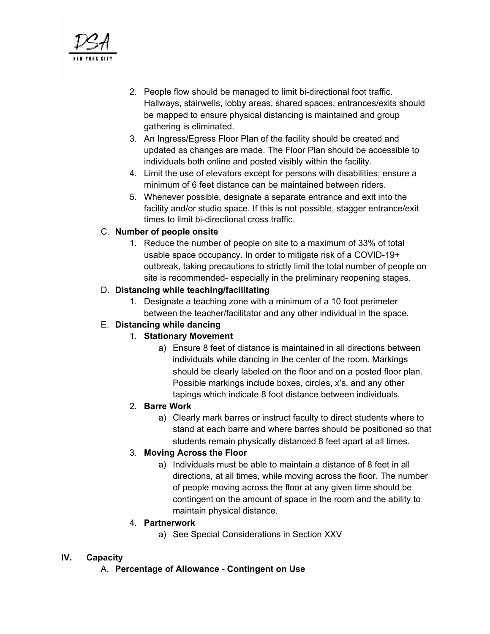

- 2. People flow should be managed to limit bi-directional foot traffic. Hallways, stairwells, lobby areas, shared spaces, entrances/exits should be mapped to ensure physical distancing is maintained and group gathering is eliminated.
- 3. An Ingress/Egress Floor Plan of the facility should be created and updated as changes are made. The Floor Plan should be accessible to individuals both online and posted visibly within the facility.
- 4. Limit the use of elevators except for persons with disabilities; ensure a minimum of 6 feet distance can be maintained between riders.
- 5. Whenever possible, designate a separate entrance and exit into the facility and/or studio space. If this is not possible, stagger entrance/exit times to limit bi-directional cross traffic.

## C. **Number of people onsite**

1. Reduce the number of people on site to a maximum of 33% of total usable space occupancy. In order to mitigate risk of a COVID-19+ outbreak, taking precautions to strictly limit the total number of people on site is recommended- especially in the preliminary reopening stages.

#### D. **Distancing while teaching/facilitating**

1. Designate a teaching zone with a minimum of a 10 foot perimeter between the teacher/facilitator and any other individual in the space.

## E. **Distancing while dancing**

## 1. **Stationary Movement**

a) Ensure 8 feet of distance is maintained in all directions between individuals while dancing in the center of the room. Markings should be clearly labeled on the floor and on a posted floor plan. Possible markings include boxes, circles, x's, and any other tapings which indicate 8 foot distance between individuals.

## 2. **Barre Work**

a) Clearly mark barres or instruct faculty to direct students where to stand at each barre and where barres should be positioned so that students remain physically distanced 8 feet apart at all times.

## 3. **Moving Across the Floor**

a) Individuals must be able to maintain a distance of 8 feet in all directions, at all times, while moving across the floor. The number of people moving across the floor at any given time should be contingent on the amount of space in the room and the ability to maintain physical distance.

## 4. **Partnerwork**

a) See Special Considerations in Section XXV

## **IV. Capacity**

A. **Percentage of Allowance - Contingent on Use**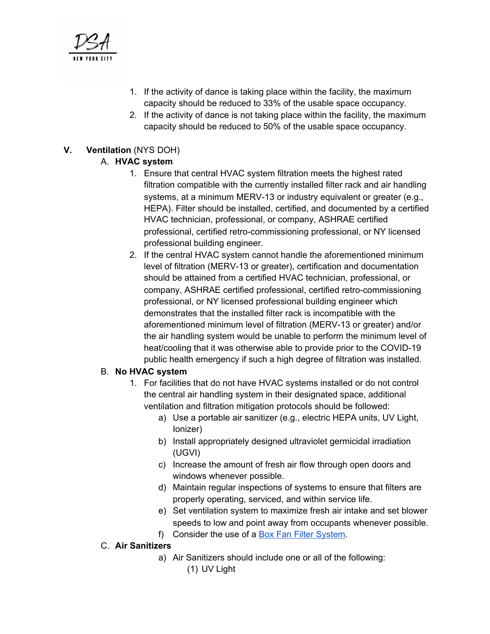

- 1. If the activity of dance is taking place within the facility, the maximum capacity should be reduced to 33% of the usable space occupancy.
- 2. If the activity of dance is not taking place within the facility, the maximum capacity should be reduced to 50% of the usable space occupancy.

## **V. Ventilation** (NYS DOH)

## A. **HVAC system**

- 1. Ensure that central HVAC system filtration meets the highest rated filtration compatible with the currently installed filter rack and air handling systems, at a minimum MERV-13 or industry equivalent or greater (e.g., HEPA). Filter should be installed, certified, and documented by a certified HVAC technician, professional, or company, ASHRAE certified professional, certified retro-commissioning professional, or NY licensed professional building engineer.
- 2. If the central HVAC system cannot handle the aforementioned minimum level of filtration (MERV-13 or greater), certification and documentation should be attained from a certified HVAC technician, professional, or company, ASHRAE certified professional, certified retro-commissioning professional, or NY licensed professional building engineer which demonstrates that the installed filter rack is incompatible with the aforementioned minimum level of filtration (MERV-13 or greater) and/or the air handling system would be unable to perform the minimum level of heat/cooling that it was otherwise able to provide prior to the COVID-19 public health emergency if such a high degree of filtration was installed.

## B. **No HVAC system**

- 1. For facilities that do not have HVAC systems installed or do not control the central air handling system in their designated space, additional ventilation and filtration mitigation protocols should be followed:
	- a) Use a portable air sanitizer (e.g., electric HEPA units, UV Light, Ionizer)
	- b) Install appropriately designed ultraviolet germicidal irradiation (UGVI)
	- c) Increase the amount of fresh air flow through open doors and windows whenever possible.
	- d) Maintain regular inspections of systems to ensure that filters are properly operating, serviced, and within service life.
	- e) Set ventilation system to maximize fresh air intake and set blower speeds to low and point away from occupants whenever possible.
	- f) Consider the use of a Box Fan Filter [System.](https://www.texairfilters.com/how-a-merv-13-air-filter-and-a-box-fan-can-help-fight-covid-19/)

## C. **Air Sanitizers**

a) Air Sanitizers should include one or all of the following: (1) UV Light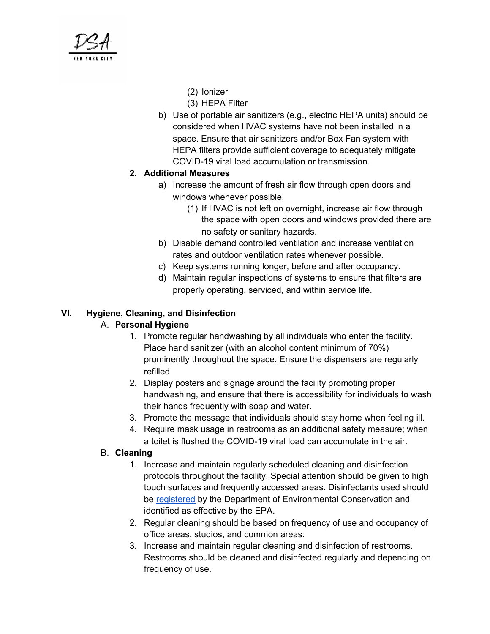

- (2) Ionizer
- (3) HEPA Filter
- b) Use of portable air sanitizers (e.g., electric HEPA units) should be considered when HVAC systems have not been installed in a space. Ensure that air sanitizers and/or Box Fan system with HEPA filters provide sufficient coverage to adequately mitigate COVID-19 viral load accumulation or transmission.

## **2. Additional Measures**

- a) Increase the amount of fresh air flow through open doors and windows whenever possible.
	- (1) If HVAC is not left on overnight, increase air flow through the space with open doors and windows provided there are no safety or sanitary hazards.
- b) Disable demand controlled ventilation and increase ventilation rates and outdoor ventilation rates whenever possible.
- c) Keep systems running longer, before and after occupancy.
- d) Maintain regular inspections of systems to ensure that filters are properly operating, serviced, and within service life.

## **VI. Hygiene, Cleaning, and Disinfection**

## A. **Personal Hygiene**

- 1. Promote regular handwashing by all individuals who enter the facility. Place hand sanitizer (with an alcohol content minimum of 70%) prominently throughout the space. Ensure the dispensers are regularly refilled.
- 2. Display posters and signage around the facility promoting proper handwashing, and ensure that there is accessibility for individuals to wash their hands frequently with soap and water.
- 3. Promote the message that individuals should stay home when feeling ill.
- 4. Require mask usage in restrooms as an additional safety measure; when a toilet is flushed the COVID-19 viral load can accumulate in the air.

## B. **Cleaning**

- 1. Increase and maintain regularly scheduled cleaning and disinfection protocols throughout the facility. Special attention should be given to high touch surfaces and frequently accessed areas. Disinfectants used should be [registered](https://www.dec.ny.gov/docs/materials_minerals_pdf/covid19.pdf) by the Department of Environmental Conservation and identified as effective by the EPA.
- 2. Regular cleaning should be based on frequency of use and occupancy of office areas, studios, and common areas.
- 3. Increase and maintain regular cleaning and disinfection of restrooms. Restrooms should be cleaned and disinfected regularly and depending on frequency of use.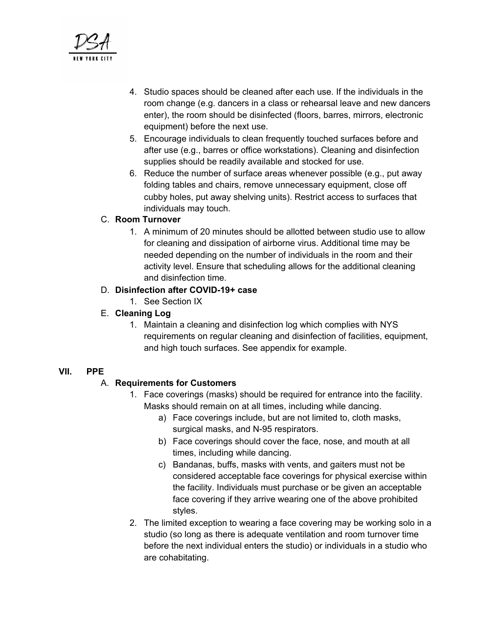- 4. Studio spaces should be cleaned after each use. If the individuals in the room change (e.g. dancers in a class or rehearsal leave and new dancers enter), the room should be disinfected (floors, barres, mirrors, electronic equipment) before the next use.
- 5. Encourage individuals to clean frequently touched surfaces before and after use (e.g., barres or office workstations). Cleaning and disinfection supplies should be readily available and stocked for use.
- 6. Reduce the number of surface areas whenever possible (e.g., put away folding tables and chairs, remove unnecessary equipment, close off cubby holes, put away shelving units). Restrict access to surfaces that individuals may touch.

## C. **Room Turnover**

1. A minimum of 20 minutes should be allotted between studio use to allow for cleaning and dissipation of airborne virus. Additional time may be needed depending on the number of individuals in the room and their activity level. Ensure that scheduling allows for the additional cleaning and disinfection time.

## D. **Disinfection after COVID-19+ case**

- 1. See Section IX
- E. **Cleaning Log**
	- 1. Maintain a cleaning and disinfection log which complies with NYS requirements on regular cleaning and disinfection of facilities, equipment, and high touch surfaces. See appendix for example.

## **VII. PPE**

## A. **Requirements for Customers**

- 1. Face coverings (masks) should be required for entrance into the facility. Masks should remain on at all times, including while dancing.
	- a) Face coverings include, but are not limited to, cloth masks, surgical masks, and N-95 respirators.
	- b) Face coverings should cover the face, nose, and mouth at all times, including while dancing.
	- c) Bandanas, buffs, masks with vents, and gaiters must not be considered acceptable face coverings for physical exercise within the facility. Individuals must purchase or be given an acceptable face covering if they arrive wearing one of the above prohibited styles.
- 2. The limited exception to wearing a face covering may be working solo in a studio (so long as there is adequate ventilation and room turnover time before the next individual enters the studio) or individuals in a studio who are cohabitating.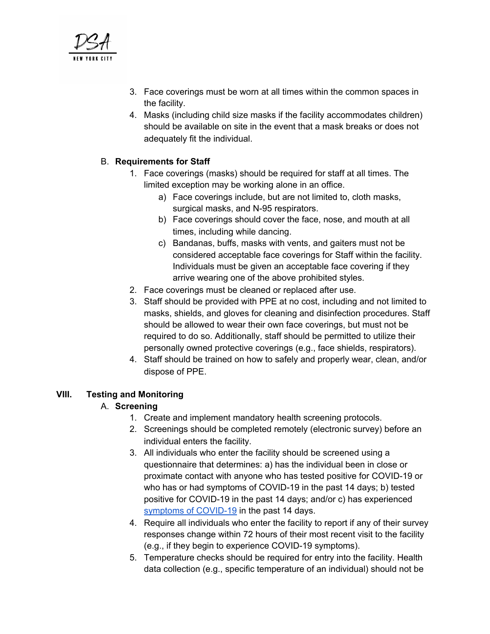

- 3. Face coverings must be worn at all times within the common spaces in the facility.
- 4. Masks (including child size masks if the facility accommodates children) should be available on site in the event that a mask breaks or does not adequately fit the individual.

## B. **Requirements for Staff**

- 1. Face coverings (masks) should be required for staff at all times. The limited exception may be working alone in an office.
	- a) Face coverings include, but are not limited to, cloth masks, surgical masks, and N-95 respirators.
	- b) Face coverings should cover the face, nose, and mouth at all times, including while dancing.
	- c) Bandanas, buffs, masks with vents, and gaiters must not be considered acceptable face coverings for Staff within the facility. Individuals must be given an acceptable face covering if they arrive wearing one of the above prohibited styles.
- 2. Face coverings must be cleaned or replaced after use.
- 3. Staff should be provided with PPE at no cost, including and not limited to masks, shields, and gloves for cleaning and disinfection procedures. Staff should be allowed to wear their own face coverings, but must not be required to do so. Additionally, staff should be permitted to utilize their personally owned protective coverings (e.g., face shields, respirators).
- 4. Staff should be trained on how to safely and properly wear, clean, and/or dispose of PPE.

## **VIII. Testing and Monitoring**

## A. **Screening**

- 1. Create and implement mandatory health screening protocols.
- 2. Screenings should be completed remotely (electronic survey) before an individual enters the facility.
- 3. All individuals who enter the facility should be screened using a questionnaire that determines: a) has the individual been in close or proximate contact with anyone who has tested positive for COVID-19 or who has or had symptoms of COVID-19 in the past 14 days; b) tested positive for COVID-19 in the past 14 days; and/or c) has experienced symptoms of [COVID-19](https://www.cdc.gov/coronavirus/2019-ncov/symptoms-testing/symptoms.html) in the past 14 days.
- 4. Require all individuals who enter the facility to report if any of their survey responses change within 72 hours of their most recent visit to the facility (e.g., if they begin to experience COVID-19 symptoms).
- 5. Temperature checks should be required for entry into the facility. Health data collection (e.g., specific temperature of an individual) should not be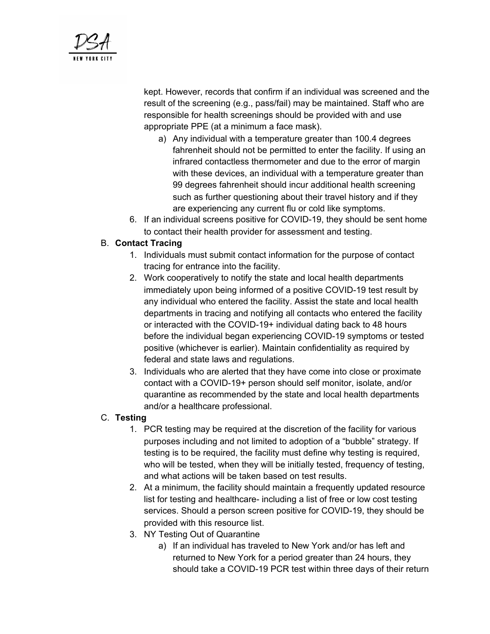

kept. However, records that confirm if an individual was screened and the result of the screening (e.g., pass/fail) may be maintained. Staff who are responsible for health screenings should be provided with and use appropriate PPE (at a minimum a face mask).

- a) Any individual with a temperature greater than 100.4 degrees fahrenheit should not be permitted to enter the facility. If using an infrared contactless thermometer and due to the error of margin with these devices, an individual with a temperature greater than 99 degrees fahrenheit should incur additional health screening such as further questioning about their travel history and if they are experiencing any current flu or cold like symptoms.
- 6. If an individual screens positive for COVID-19, they should be sent home to contact their health provider for assessment and testing.

## B. **Contact Tracing**

- 1. Individuals must submit contact information for the purpose of contact tracing for entrance into the facility.
- 2. Work cooperatively to notify the state and local health departments immediately upon being informed of a positive COVID-19 test result by any individual who entered the facility. Assist the state and local health departments in tracing and notifying all contacts who entered the facility or interacted with the COVID-19+ individual dating back to 48 hours before the individual began experiencing COVID-19 symptoms or tested positive (whichever is earlier). Maintain confidentiality as required by federal and state laws and regulations.
- 3. Individuals who are alerted that they have come into close or proximate contact with a COVID-19+ person should self monitor, isolate, and/or quarantine as recommended by the state and local health departments and/or a healthcare professional.

## C. **Testing**

- 1. PCR testing may be required at the discretion of the facility for various purposes including and not limited to adoption of a "bubble" strategy. If testing is to be required, the facility must define why testing is required, who will be tested, when they will be initially tested, frequency of testing, and what actions will be taken based on test results.
- 2. At a minimum, the facility should maintain a frequently updated resource list for testing and healthcare- including a list of free or low cost testing services. Should a person screen positive for COVID-19, they should be provided with this resource list.
- 3. NY Testing Out of Quarantine
	- a) If an individual has traveled to New York and/or has left and returned to New York for a period greater than 24 hours, they should take a COVID-19 PCR test within three days of their return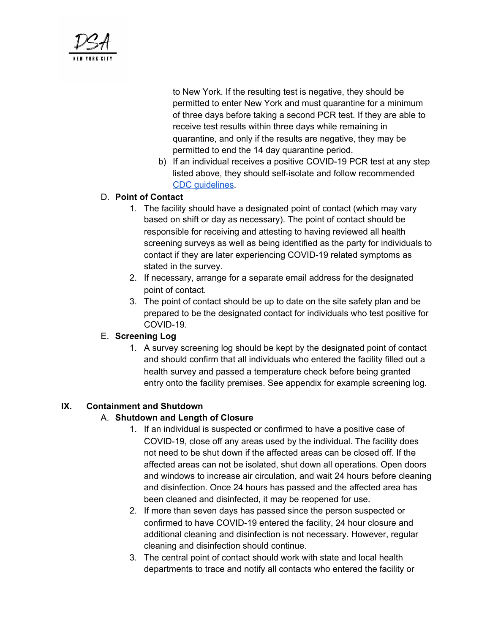

to New York. If the resulting test is negative, they should be permitted to enter New York and must quarantine for a minimum of three days before taking a second PCR test. If they are able to receive test results within three days while remaining in quarantine, and only if the results are negative, they may be permitted to end the 14 day quarantine period.

b) If an individual receives a positive COVID-19 PCR test at any step listed above, they should self-isolate and follow recommended CDC [guidelines](https://www.cdc.gov/coronavirus/2019-ncov/if-you-are-sick/steps-when-sick.html).

## D. **Point of Contact**

- 1. The facility should have a designated point of contact (which may vary based on shift or day as necessary). The point of contact should be responsible for receiving and attesting to having reviewed all health screening surveys as well as being identified as the party for individuals to contact if they are later experiencing COVID-19 related symptoms as stated in the survey.
- 2. If necessary, arrange for a separate email address for the designated point of contact.
- 3. The point of contact should be up to date on the site safety plan and be prepared to be the designated contact for individuals who test positive for COVID-19.

## E. **Screening Log**

1. A survey screening log should be kept by the designated point of contact and should confirm that all individuals who entered the facility filled out a health survey and passed a temperature check before being granted entry onto the facility premises. See appendix for example screening log.

## **IX. Containment and Shutdown**

## A. **Shutdown and Length of Closure**

- 1. If an individual is suspected or confirmed to have a positive case of COVID-19, close off any areas used by the individual. The facility does not need to be shut down if the affected areas can be closed off. If the affected areas can not be isolated, shut down all operations. Open doors and windows to increase air circulation, and wait 24 hours before cleaning and disinfection. Once 24 hours has passed and the affected area has been cleaned and disinfected, it may be reopened for use.
- 2. If more than seven days has passed since the person suspected or confirmed to have COVID-19 entered the facility, 24 hour closure and additional cleaning and disinfection is not necessary. However, regular cleaning and disinfection should continue.
- 3. The central point of contact should work with state and local health departments to trace and notify all contacts who entered the facility or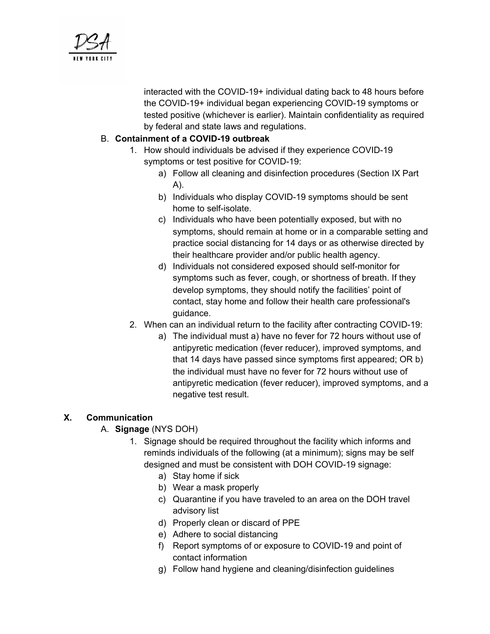

interacted with the COVID-19+ individual dating back to 48 hours before the COVID-19+ individual began experiencing COVID-19 symptoms or tested positive (whichever is earlier). Maintain confidentiality as required by federal and state laws and regulations.

## B. **Containment of a COVID-19 outbreak**

- 1. How should individuals be advised if they experience COVID-19 symptoms or test positive for COVID-19:
	- a) Follow all cleaning and disinfection procedures (Section IX Part A).
	- b) Individuals who display COVID-19 symptoms should be sent home to self-isolate.
	- c) Individuals who have been potentially exposed, but with no symptoms, should remain at home or in a comparable setting and practice social distancing for 14 days or as otherwise directed by their healthcare provider and/or public health agency.
	- d) Individuals not considered exposed should self-monitor for symptoms such as fever, cough, or shortness of breath. If they develop symptoms, they should notify the facilities' point of contact, stay home and follow their health care professional's guidance.
- 2. When can an individual return to the facility after contracting COVID-19:
	- a) The individual must a) have no fever for 72 hours without use of antipyretic medication (fever reducer), improved symptoms, and that 14 days have passed since symptoms first appeared; OR b) the individual must have no fever for 72 hours without use of antipyretic medication (fever reducer), improved symptoms, and a negative test result.

## **X. Communication**

## A. **Signage** (NYS DOH)

- 1. Signage should be required throughout the facility which informs and reminds individuals of the following (at a minimum); signs may be self designed and must be consistent with DOH COVID-19 signage:
	- a) Stay home if sick
	- b) Wear a mask properly
	- c) Quarantine if you have traveled to an area on the DOH travel advisory list
	- d) Properly clean or discard of PPE
	- e) Adhere to social distancing
	- f) Report symptoms of or exposure to COVID-19 and point of contact information
	- g) Follow hand hygiene and cleaning/disinfection guidelines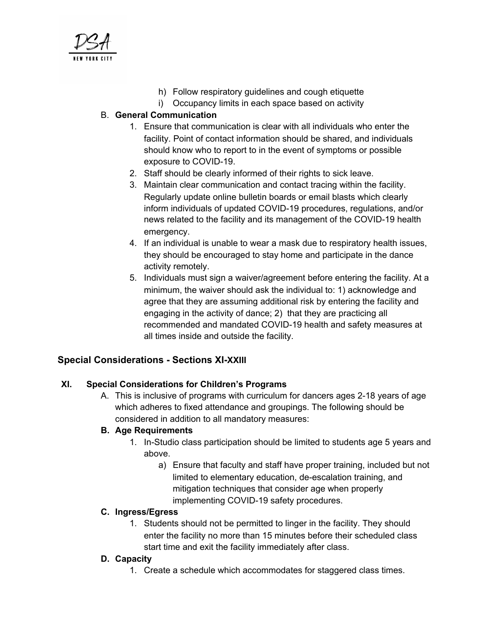

- h) Follow respiratory guidelines and cough etiquette
- i) Occupancy limits in each space based on activity

## B. **General Communication**

- 1. Ensure that communication is clear with all individuals who enter the facility. Point of contact information should be shared, and individuals should know who to report to in the event of symptoms or possible exposure to COVID-19.
- 2. Staff should be clearly informed of their rights to sick leave.
- 3. Maintain clear communication and contact tracing within the facility. Regularly update online bulletin boards or email blasts which clearly inform individuals of updated COVID-19 procedures, regulations, and/or news related to the facility and its management of the COVID-19 health emergency.
- 4. If an individual is unable to wear a mask due to respiratory health issues, they should be encouraged to stay home and participate in the dance activity remotely.
- 5. Individuals must sign a waiver/agreement before entering the facility. At a minimum, the waiver should ask the individual to: 1) acknowledge and agree that they are assuming additional risk by entering the facility and engaging in the activity of dance; 2) that they are practicing all recommended and mandated COVID-19 health and safety measures at all times inside and outside the facility.

## **Special Considerations - Sections XI-XXIII**

## **XI. Special Considerations for Children's Programs**

A. This is inclusive of programs with curriculum for dancers ages 2-18 years of age which adheres to fixed attendance and groupings. The following should be considered in addition to all mandatory measures:

## **B. Age Requirements**

- 1. In-Studio class participation should be limited to students age 5 years and above.
	- a) Ensure that faculty and staff have proper training, included but not limited to elementary education, de-escalation training, and mitigation techniques that consider age when properly implementing COVID-19 safety procedures.

## **C. Ingress/Egress**

1. Students should not be permitted to linger in the facility. They should enter the facility no more than 15 minutes before their scheduled class start time and exit the facility immediately after class.

## **D. Capacity**

1. Create a schedule which accommodates for staggered class times.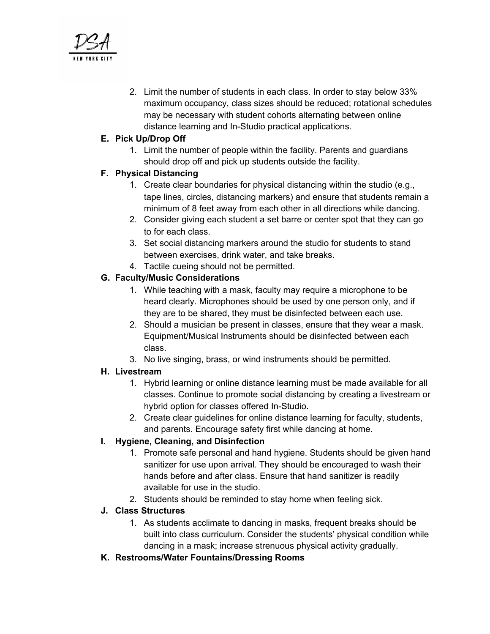

2. Limit the number of students in each class. In order to stay below 33% maximum occupancy, class sizes should be reduced; rotational schedules may be necessary with student cohorts alternating between online distance learning and In-Studio practical applications.

## **E. Pick Up/Drop Off**

1. Limit the number of people within the facility. Parents and guardians should drop off and pick up students outside the facility.

## **F. Physical Distancing**

- 1. Create clear boundaries for physical distancing within the studio (e.g., tape lines, circles, distancing markers) and ensure that students remain a minimum of 8 feet away from each other in all directions while dancing.
- 2. Consider giving each student a set barre or center spot that they can go to for each class.
- 3. Set social distancing markers around the studio for students to stand between exercises, drink water, and take breaks.
- 4. Tactile cueing should not be permitted.

## **G. Faculty/Music Considerations**

- 1. While teaching with a mask, faculty may require a microphone to be heard clearly. Microphones should be used by one person only, and if they are to be shared, they must be disinfected between each use.
- 2. Should a musician be present in classes, ensure that they wear a mask. Equipment/Musical Instruments should be disinfected between each class.
- 3. No live singing, brass, or wind instruments should be permitted.

## **H. Livestream**

- 1. Hybrid learning or online distance learning must be made available for all classes. Continue to promote social distancing by creating a livestream or hybrid option for classes offered In-Studio.
- 2. Create clear guidelines for online distance learning for faculty, students, and parents. Encourage safety first while dancing at home.

## **I. Hygiene, Cleaning, and Disinfection**

- 1. Promote safe personal and hand hygiene. Students should be given hand sanitizer for use upon arrival. They should be encouraged to wash their hands before and after class. Ensure that hand sanitizer is readily available for use in the studio.
- 2. Students should be reminded to stay home when feeling sick.

## **J. Class Structures**

- 1. As students acclimate to dancing in masks, frequent breaks should be built into class curriculum. Consider the students' physical condition while dancing in a mask; increase strenuous physical activity gradually.
- **K. Restrooms/Water Fountains/Dressing Rooms**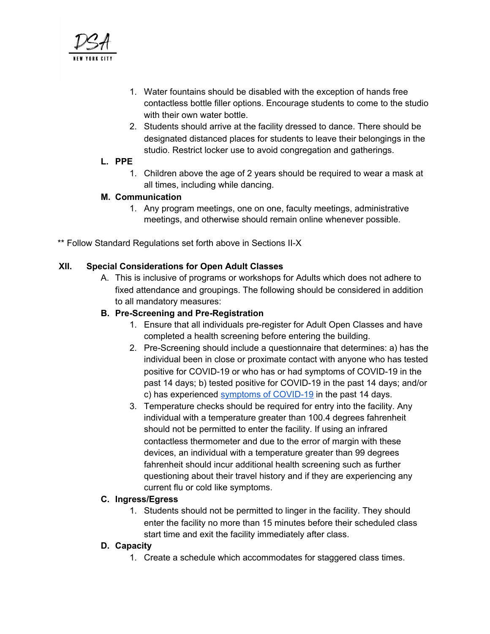

- 1. Water fountains should be disabled with the exception of hands free contactless bottle filler options. Encourage students to come to the studio with their own water bottle.
- 2. Students should arrive at the facility dressed to dance. There should be designated distanced places for students to leave their belongings in the studio. Restrict locker use to avoid congregation and gatherings.

#### **L. PPE**

1. Children above the age of 2 years should be required to wear a mask at all times, including while dancing.

#### **M. Communication**

- 1. Any program meetings, one on one, faculty meetings, administrative meetings, and otherwise should remain online whenever possible.
- \*\* Follow Standard Regulations set forth above in Sections II-X

## **XII. Special Considerations for Open Adult Classes**

A. This is inclusive of programs or workshops for Adults which does not adhere to fixed attendance and groupings. The following should be considered in addition to all mandatory measures:

#### **B. Pre-Screening and Pre-Registration**

- 1. Ensure that all individuals pre-register for Adult Open Classes and have completed a health screening before entering the building.
- 2. Pre-Screening should include a questionnaire that determines: a) has the individual been in close or proximate contact with anyone who has tested positive for COVID-19 or who has or had symptoms of COVID-19 in the past 14 days; b) tested positive for COVID-19 in the past 14 days; and/or c) has experienced symptoms of [COVID-19](https://www.cdc.gov/coronavirus/2019-ncov/symptoms-testing/symptoms.html) in the past 14 days.
- 3. Temperature checks should be required for entry into the facility. Any individual with a temperature greater than 100.4 degrees fahrenheit should not be permitted to enter the facility. If using an infrared contactless thermometer and due to the error of margin with these devices, an individual with a temperature greater than 99 degrees fahrenheit should incur additional health screening such as further questioning about their travel history and if they are experiencing any current flu or cold like symptoms.

#### **C. Ingress/Egress**

1. Students should not be permitted to linger in the facility. They should enter the facility no more than 15 minutes before their scheduled class start time and exit the facility immediately after class.

#### **D. Capacity**

1. Create a schedule which accommodates for staggered class times.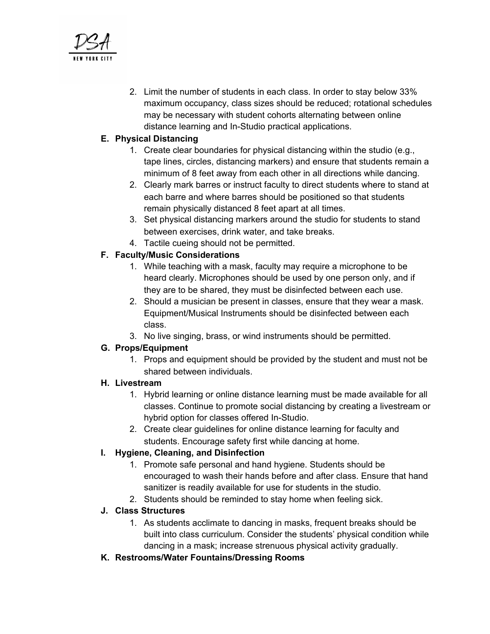

2. Limit the number of students in each class. In order to stay below 33% maximum occupancy, class sizes should be reduced; rotational schedules may be necessary with student cohorts alternating between online distance learning and In-Studio practical applications.

## **E. Physical Distancing**

- 1. Create clear boundaries for physical distancing within the studio (e.g., tape lines, circles, distancing markers) and ensure that students remain a minimum of 8 feet away from each other in all directions while dancing.
- 2. Clearly mark barres or instruct faculty to direct students where to stand at each barre and where barres should be positioned so that students remain physically distanced 8 feet apart at all times.
- 3. Set physical distancing markers around the studio for students to stand between exercises, drink water, and take breaks.
- 4. Tactile cueing should not be permitted.

## **F. Faculty/Music Considerations**

- 1. While teaching with a mask, faculty may require a microphone to be heard clearly. Microphones should be used by one person only, and if they are to be shared, they must be disinfected between each use.
- 2. Should a musician be present in classes, ensure that they wear a mask. Equipment/Musical Instruments should be disinfected between each class.
- 3. No live singing, brass, or wind instruments should be permitted.

## **G. Props/Equipment**

1. Props and equipment should be provided by the student and must not be shared between individuals.

## **H. Livestream**

- 1. Hybrid learning or online distance learning must be made available for all classes. Continue to promote social distancing by creating a livestream or hybrid option for classes offered In-Studio.
- 2. Create clear guidelines for online distance learning for faculty and students. Encourage safety first while dancing at home.

## **I. Hygiene, Cleaning, and Disinfection**

- 1. Promote safe personal and hand hygiene. Students should be encouraged to wash their hands before and after class. Ensure that hand sanitizer is readily available for use for students in the studio.
- 2. Students should be reminded to stay home when feeling sick.

## **J. Class Structures**

- 1. As students acclimate to dancing in masks, frequent breaks should be built into class curriculum. Consider the students' physical condition while dancing in a mask; increase strenuous physical activity gradually.
- **K. Restrooms/Water Fountains/Dressing Rooms**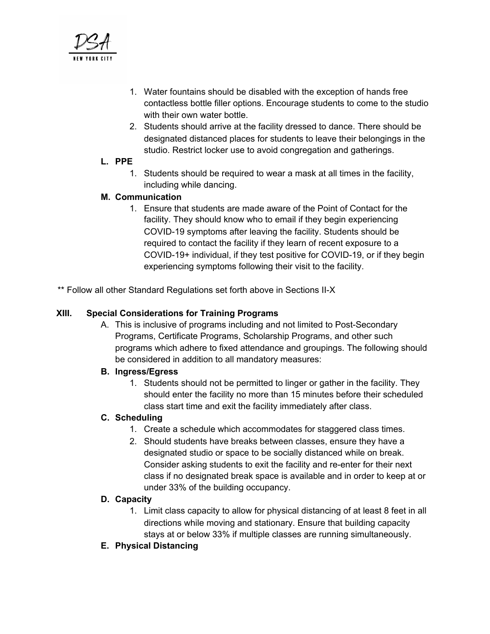

- 1. Water fountains should be disabled with the exception of hands free contactless bottle filler options. Encourage students to come to the studio with their own water bottle.
- 2. Students should arrive at the facility dressed to dance. There should be designated distanced places for students to leave their belongings in the studio. Restrict locker use to avoid congregation and gatherings.

#### **L. PPE**

1. Students should be required to wear a mask at all times in the facility, including while dancing.

#### **M. Communication**

1. Ensure that students are made aware of the Point of Contact for the facility. They should know who to email if they begin experiencing COVID-19 symptoms after leaving the facility. Students should be required to contact the facility if they learn of recent exposure to a COVID-19+ individual, if they test positive for COVID-19, or if they begin experiencing symptoms following their visit to the facility.

\*\* Follow all other Standard Regulations set forth above in Sections II-X

#### **XIII. Special Considerations for Training Programs**

A. This is inclusive of programs including and not limited to Post-Secondary Programs, Certificate Programs, Scholarship Programs, and other such programs which adhere to fixed attendance and groupings. The following should be considered in addition to all mandatory measures:

## **B. Ingress/Egress**

1. Students should not be permitted to linger or gather in the facility. They should enter the facility no more than 15 minutes before their scheduled class start time and exit the facility immediately after class.

#### **C. Scheduling**

- 1. Create a schedule which accommodates for staggered class times.
- 2. Should students have breaks between classes, ensure they have a designated studio or space to be socially distanced while on break. Consider asking students to exit the facility and re-enter for their next class if no designated break space is available and in order to keep at or under 33% of the building occupancy.

#### **D. Capacity**

- 1. Limit class capacity to allow for physical distancing of at least 8 feet in all directions while moving and stationary. Ensure that building capacity stays at or below 33% if multiple classes are running simultaneously.
- **E. Physical Distancing**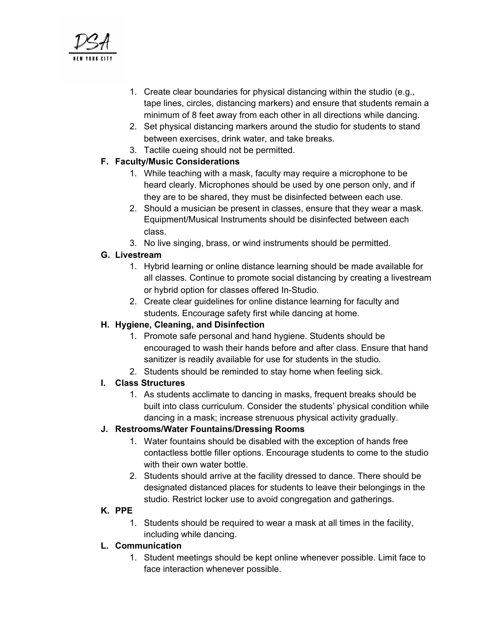

- 1. Create clear boundaries for physical distancing within the studio (e.g., tape lines, circles, distancing markers) and ensure that students remain a minimum of 8 feet away from each other in all directions while dancing.
- 2. Set physical distancing markers around the studio for students to stand between exercises, drink water, and take breaks.
- 3. Tactile cueing should not be permitted.

## **F. Faculty/Music Considerations**

- 1. While teaching with a mask, faculty may require a microphone to be heard clearly. Microphones should be used by one person only, and if they are to be shared, they must be disinfected between each use.
- 2. Should a musician be present in classes, ensure that they wear a mask. Equipment/Musical Instruments should be disinfected between each class.
- 3. No live singing, brass, or wind instruments should be permitted.

## **G. Livestream**

- 1. Hybrid learning or online distance learning should be made available for all classes. Continue to promote social distancing by creating a livestream or hybrid option for classes offered In-Studio.
- 2. Create clear guidelines for online distance learning for faculty and students. Encourage safety first while dancing at home.

## **H. Hygiene, Cleaning, and Disinfection**

- 1. Promote safe personal and hand hygiene. Students should be encouraged to wash their hands before and after class. Ensure that hand sanitizer is readily available for use for students in the studio.
- 2. Students should be reminded to stay home when feeling sick.

## **I. Class Structures**

1. As students acclimate to dancing in masks, frequent breaks should be built into class curriculum. Consider the students' physical condition while dancing in a mask; increase strenuous physical activity gradually.

## **J. Restrooms/Water Fountains/Dressing Rooms**

- 1. Water fountains should be disabled with the exception of hands free contactless bottle filler options. Encourage students to come to the studio with their own water bottle.
- 2. Students should arrive at the facility dressed to dance. There should be designated distanced places for students to leave their belongings in the studio. Restrict locker use to avoid congregation and gatherings.

## **K. PPE**

1. Students should be required to wear a mask at all times in the facility, including while dancing.

## **L. Communication**

1. Student meetings should be kept online whenever possible. Limit face to face interaction whenever possible.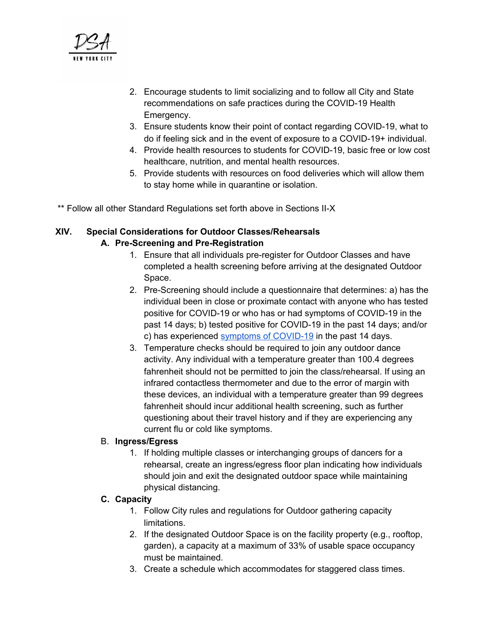

- 2. Encourage students to limit socializing and to follow all City and State recommendations on safe practices during the COVID-19 Health Emergency.
- 3. Ensure students know their point of contact regarding COVID-19, what to do if feeling sick and in the event of exposure to a COVID-19+ individual.
- 4. Provide health resources to students for COVID-19, basic free or low cost healthcare, nutrition, and mental health resources.
- 5. Provide students with resources on food deliveries which will allow them to stay home while in quarantine or isolation.

\*\* Follow all other Standard Regulations set forth above in Sections II-X

#### **XIV. Special Considerations for Outdoor Classes/Rehearsals A. Pre-Screening and Pre-Registration**

- 1. Ensure that all individuals pre-register for Outdoor Classes and have completed a health screening before arriving at the designated Outdoor Space.
- 2. Pre-Screening should include a questionnaire that determines: a) has the individual been in close or proximate contact with anyone who has tested positive for COVID-19 or who has or had symptoms of COVID-19 in the past 14 days; b) tested positive for COVID-19 in the past 14 days; and/or c) has experienced symptoms of [COVID-19](https://www.cdc.gov/coronavirus/2019-ncov/symptoms-testing/symptoms.html) in the past 14 days.
- 3. Temperature checks should be required to join any outdoor dance activity. Any individual with a temperature greater than 100.4 degrees fahrenheit should not be permitted to join the class/rehearsal. If using an infrared contactless thermometer and due to the error of margin with these devices, an individual with a temperature greater than 99 degrees fahrenheit should incur additional health screening, such as further questioning about their travel history and if they are experiencing any current flu or cold like symptoms.

## B. **Ingress/Egress**

1. If holding multiple classes or interchanging groups of dancers for a rehearsal, create an ingress/egress floor plan indicating how individuals should join and exit the designated outdoor space while maintaining physical distancing.

## **C. Capacity**

- 1. Follow City rules and regulations for Outdoor gathering capacity limitations.
- 2. If the designated Outdoor Space is on the facility property (e.g., rooftop, garden), a capacity at a maximum of 33% of usable space occupancy must be maintained.
- 3. Create a schedule which accommodates for staggered class times.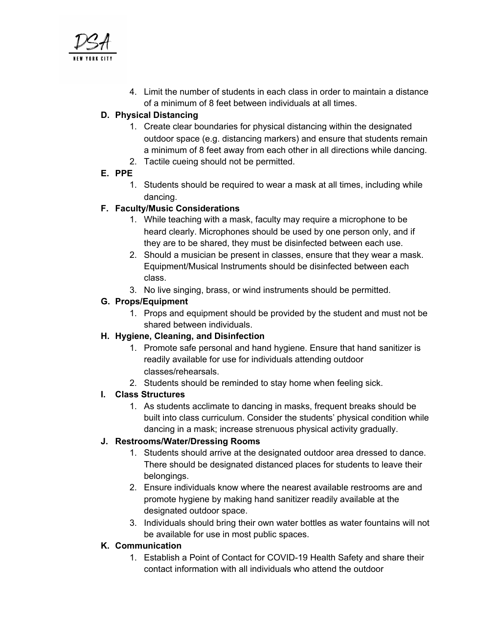

4. Limit the number of students in each class in order to maintain a distance of a minimum of 8 feet between individuals at all times.

## **D. Physical Distancing**

- 1. Create clear boundaries for physical distancing within the designated outdoor space (e.g. distancing markers) and ensure that students remain a minimum of 8 feet away from each other in all directions while dancing.
- 2. Tactile cueing should not be permitted.

## **E. PPE**

1. Students should be required to wear a mask at all times, including while dancing.

## **F. Faculty/Music Considerations**

- 1. While teaching with a mask, faculty may require a microphone to be heard clearly. Microphones should be used by one person only, and if they are to be shared, they must be disinfected between each use.
- 2. Should a musician be present in classes, ensure that they wear a mask. Equipment/Musical Instruments should be disinfected between each class.
- 3. No live singing, brass, or wind instruments should be permitted.

## **G. Props/Equipment**

1. Props and equipment should be provided by the student and must not be shared between individuals.

## **H. Hygiene, Cleaning, and Disinfection**

- 1. Promote safe personal and hand hygiene. Ensure that hand sanitizer is readily available for use for individuals attending outdoor classes/rehearsals.
- 2. Students should be reminded to stay home when feeling sick.

## **I. Class Structures**

1. As students acclimate to dancing in masks, frequent breaks should be built into class curriculum. Consider the students' physical condition while dancing in a mask; increase strenuous physical activity gradually.

## **J. Restrooms/Water/Dressing Rooms**

- 1. Students should arrive at the designated outdoor area dressed to dance. There should be designated distanced places for students to leave their belongings.
- 2. Ensure individuals know where the nearest available restrooms are and promote hygiene by making hand sanitizer readily available at the designated outdoor space.
- 3. Individuals should bring their own water bottles as water fountains will not be available for use in most public spaces.

## **K. Communication**

1. Establish a Point of Contact for COVID-19 Health Safety and share their contact information with all individuals who attend the outdoor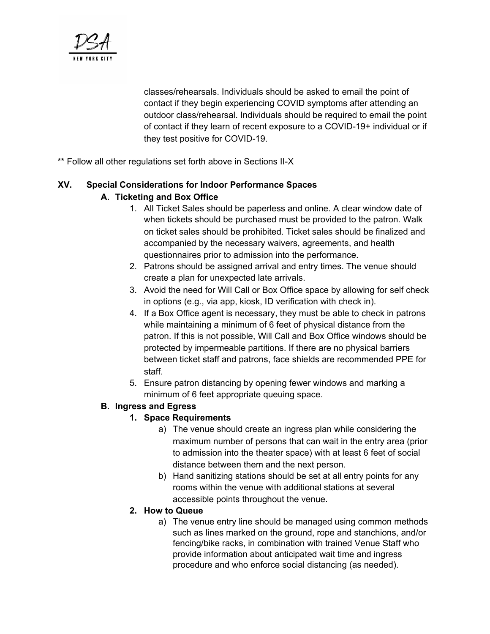

classes/rehearsals. Individuals should be asked to email the point of contact if they begin experiencing COVID symptoms after attending an outdoor class/rehearsal. Individuals should be required to email the point of contact if they learn of recent exposure to a COVID-19+ individual or if they test positive for COVID-19.

\*\* Follow all other regulations set forth above in Sections II-X

# **XV. Special Considerations for Indoor Performance Spaces**

## **A. Ticketing and Box Office**

- 1. All Ticket Sales should be paperless and online. A clear window date of when tickets should be purchased must be provided to the patron. Walk on ticket sales should be prohibited. Ticket sales should be finalized and accompanied by the necessary waivers, agreements, and health questionnaires prior to admission into the performance.
- 2. Patrons should be assigned arrival and entry times. The venue should create a plan for unexpected late arrivals.
- 3. Avoid the need for Will Call or Box Office space by allowing for self check in options (e.g., via app, kiosk, ID verification with check in).
- 4. If a Box Office agent is necessary, they must be able to check in patrons while maintaining a minimum of 6 feet of physical distance from the patron. If this is not possible, Will Call and Box Office windows should be protected by impermeable partitions. If there are no physical barriers between ticket staff and patrons, face shields are recommended PPE for staff.
- 5. Ensure patron distancing by opening fewer windows and marking a minimum of 6 feet appropriate queuing space.

## **B. Ingress and Egress**

## **1. Space Requirements**

- a) The venue should create an ingress plan while considering the maximum number of persons that can wait in the entry area (prior to admission into the theater space) with at least 6 feet of social distance between them and the next person.
- b) Hand sanitizing stations should be set at all entry points for any rooms within the venue with additional stations at several accessible points throughout the venue.

## **2. How to Queue**

a) The venue entry line should be managed using common methods such as lines marked on the ground, rope and stanchions, and/or fencing/bike racks, in combination with trained Venue Staff who provide information about anticipated wait time and ingress procedure and who enforce social distancing (as needed).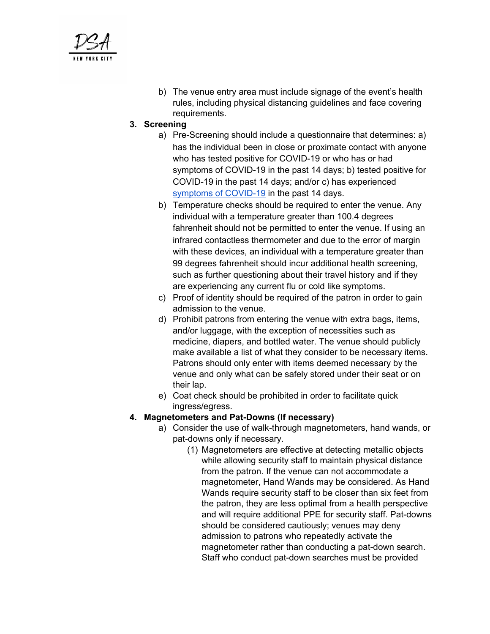

b) The venue entry area must include signage of the event's health rules, including physical distancing guidelines and face covering requirements.

#### **3. Screening**

- a) Pre-Screening should include a questionnaire that determines: a) has the individual been in close or proximate contact with anyone who has tested positive for COVID-19 or who has or had symptoms of COVID-19 in the past 14 days; b) tested positive for COVID-19 in the past 14 days; and/or c) has experienced symptoms of [COVID-19](https://www.cdc.gov/coronavirus/2019-ncov/symptoms-testing/symptoms.html) in the past 14 days.
- b) Temperature checks should be required to enter the venue. Any individual with a temperature greater than 100.4 degrees fahrenheit should not be permitted to enter the venue. If using an infrared contactless thermometer and due to the error of margin with these devices, an individual with a temperature greater than 99 degrees fahrenheit should incur additional health screening, such as further questioning about their travel history and if they are experiencing any current flu or cold like symptoms.
- c) Proof of identity should be required of the patron in order to gain admission to the venue.
- d) Prohibit patrons from entering the venue with extra bags, items, and/or luggage, with the exception of necessities such as medicine, diapers, and bottled water. The venue should publicly make available a list of what they consider to be necessary items. Patrons should only enter with items deemed necessary by the venue and only what can be safely stored under their seat or on their lap.
- e) Coat check should be prohibited in order to facilitate quick ingress/egress.

## **4. Magnetometers and Pat-Downs (If necessary)**

- a) Consider the use of walk-through magnetometers, hand wands, or pat-downs only if necessary.
	- (1) Magnetometers are effective at detecting metallic objects while allowing security staff to maintain physical distance from the patron. If the venue can not accommodate a magnetometer, Hand Wands may be considered. As Hand Wands require security staff to be closer than six feet from the patron, they are less optimal from a health perspective and will require additional PPE for security staff. Pat-downs should be considered cautiously; venues may deny admission to patrons who repeatedly activate the magnetometer rather than conducting a pat-down search. Staff who conduct pat-down searches must be provided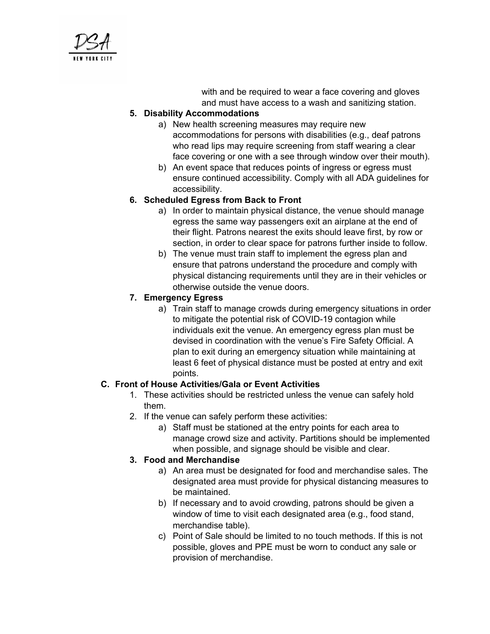

with and be required to wear a face covering and gloves and must have access to a wash and sanitizing station.

#### **5. Disability Accommodations**

- a) New health screening measures may require new accommodations for persons with disabilities (e.g., deaf patrons who read lips may require screening from staff wearing a clear face covering or one with a see through window over their mouth).
- b) An event space that reduces points of ingress or egress must ensure continued accessibility. Comply with all ADA guidelines for accessibility.

## **6. Scheduled Egress from Back to Front**

- a) In order to maintain physical distance, the venue should manage egress the same way passengers exit an airplane at the end of their flight. Patrons nearest the exits should leave first, by row or section, in order to clear space for patrons further inside to follow.
- b) The venue must train staff to implement the egress plan and ensure that patrons understand the procedure and comply with physical distancing requirements until they are in their vehicles or otherwise outside the venue doors.

## **7. Emergency Egress**

a) Train staff to manage crowds during emergency situations in order to mitigate the potential risk of COVID-19 contagion while individuals exit the venue. An emergency egress plan must be devised in coordination with the venue's Fire Safety Official. A plan to exit during an emergency situation while maintaining at least 6 feet of physical distance must be posted at entry and exit points.

## **C. Front of House Activities/Gala or Event Activities**

- 1. These activities should be restricted unless the venue can safely hold them.
- 2. If the venue can safely perform these activities:
	- a) Staff must be stationed at the entry points for each area to manage crowd size and activity. Partitions should be implemented when possible, and signage should be visible and clear.

## **3. Food and Merchandise**

- a) An area must be designated for food and merchandise sales. The designated area must provide for physical distancing measures to be maintained.
- b) If necessary and to avoid crowding, patrons should be given a window of time to visit each designated area (e.g., food stand, merchandise table).
- c) Point of Sale should be limited to no touch methods. If this is not possible, gloves and PPE must be worn to conduct any sale or provision of merchandise.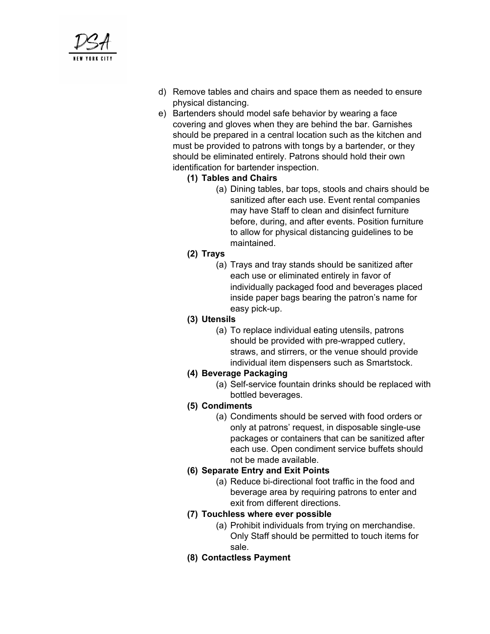

- d) Remove tables and chairs and space them as needed to ensure physical distancing.
- e) Bartenders should model safe behavior by wearing a face covering and gloves when they are behind the bar. Garnishes should be prepared in a central location such as the kitchen and must be provided to patrons with tongs by a bartender, or they should be eliminated entirely. Patrons should hold their own identification for bartender inspection.
	- **(1) Tables and Chairs**
		- (a) Dining tables, bar tops, stools and chairs should be sanitized after each use. Event rental companies may have Staff to clean and disinfect furniture before, during, and after events. Position furniture to allow for physical distancing guidelines to be maintained.
	- **(2) Trays**
		- (a) Trays and tray stands should be sanitized after each use or eliminated entirely in favor of individually packaged food and beverages placed inside paper bags bearing the patron's name for easy pick-up.

#### **(3) Utensils**

(a) To replace individual eating utensils, patrons should be provided with pre-wrapped cutlery, straws, and stirrers, or the venue should provide individual item dispensers such as Smartstock.

## **(4) Beverage Packaging**

- (a) Self-service fountain drinks should be replaced with bottled beverages.
- **(5) Condiments**
	- (a) Condiments should be served with food orders or only at patrons' request, in disposable single-use packages or containers that can be sanitized after each use. Open condiment service buffets should not be made available.

#### **(6) Separate Entry and Exit Points**

(a) Reduce bi-directional foot traffic in the food and beverage area by requiring patrons to enter and exit from different directions.

## **(7) Touchless where ever possible**

- (a) Prohibit individuals from trying on merchandise. Only Staff should be permitted to touch items for sale.
- **(8) Contactless Payment**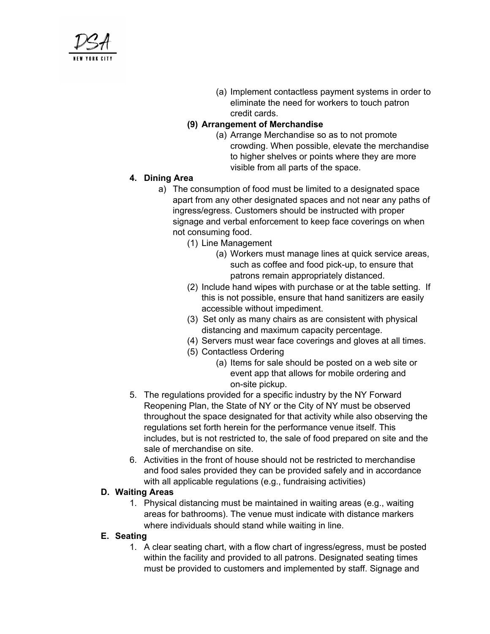

(a) Implement contactless payment systems in order to eliminate the need for workers to touch patron credit cards.

#### **(9) Arrangement of Merchandise**

(a) Arrange Merchandise so as to not promote crowding. When possible, elevate the merchandise to higher shelves or points where they are more visible from all parts of the space.

#### **4. Dining Area**

- a) The consumption of food must be limited to a designated space apart from any other designated spaces and not near any paths of ingress/egress. Customers should be instructed with proper signage and verbal enforcement to keep face coverings on when not consuming food.
	- (1) Line Management
		- (a) Workers must manage lines at quick service areas, such as coffee and food pick-up, to ensure that patrons remain appropriately distanced.
	- (2) Include hand wipes with purchase or at the table setting. If this is not possible, ensure that hand sanitizers are easily accessible without impediment.
	- (3) Set only as many chairs as are consistent with physical distancing and maximum capacity percentage.
	- (4) Servers must wear face coverings and gloves at all times.
	- (5) Contactless Ordering
		- (a) Items for sale should be posted on a web site or event app that allows for mobile ordering and on-site pickup.
- 5. The regulations provided for a specific industry by the NY Forward Reopening Plan, the State of NY or the City of NY must be observed throughout the space designated for that activity while also observing the regulations set forth herein for the performance venue itself. This includes, but is not restricted to, the sale of food prepared on site and the sale of merchandise on site.
- 6. Activities in the front of house should not be restricted to merchandise and food sales provided they can be provided safely and in accordance with all applicable regulations (e.g., fundraising activities)

#### **D. Waiting Areas**

1. Physical distancing must be maintained in waiting areas (e.g., waiting areas for bathrooms). The venue must indicate with distance markers where individuals should stand while waiting in line.

#### **E. Seating**

1. A clear seating chart, with a flow chart of ingress/egress, must be posted within the facility and provided to all patrons. Designated seating times must be provided to customers and implemented by staff. Signage and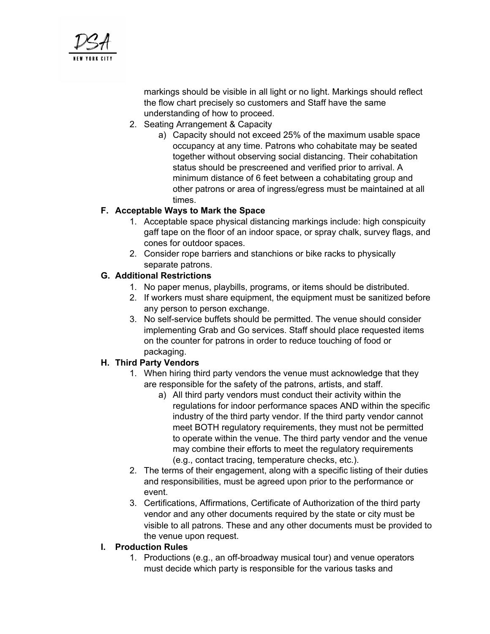

markings should be visible in all light or no light. Markings should reflect the flow chart precisely so customers and Staff have the same understanding of how to proceed.

- 2. Seating Arrangement & Capacity
	- a) Capacity should not exceed 25% of the maximum usable space occupancy at any time. Patrons who cohabitate may be seated together without observing social distancing. Their cohabitation status should be prescreened and verified prior to arrival. A minimum distance of 6 feet between a cohabitating group and other patrons or area of ingress/egress must be maintained at all times.

## **F. Acceptable Ways to Mark the Space**

- 1. Acceptable space physical distancing markings include: high conspicuity gaff tape on the floor of an indoor space, or spray chalk, survey flags, and cones for outdoor spaces.
- 2. Consider rope barriers and stanchions or bike racks to physically separate patrons.

#### **G. Additional Restrictions**

- 1. No paper menus, playbills, programs, or items should be distributed.
- 2. If workers must share equipment, the equipment must be sanitized before any person to person exchange.
- 3. No self-service buffets should be permitted. The venue should consider implementing Grab and Go services. Staff should place requested items on the counter for patrons in order to reduce touching of food or packaging.

#### **H. Third Party Vendors**

- 1. When hiring third party vendors the venue must acknowledge that they are responsible for the safety of the patrons, artists, and staff.
	- a) All third party vendors must conduct their activity within the regulations for indoor performance spaces AND within the specific industry of the third party vendor. If the third party vendor cannot meet BOTH regulatory requirements, they must not be permitted to operate within the venue. The third party vendor and the venue may combine their efforts to meet the regulatory requirements (e.g., contact tracing, temperature checks, etc.).
- 2. The terms of their engagement, along with a specific listing of their duties and responsibilities, must be agreed upon prior to the performance or event.
- 3. Certifications, Affirmations, Certificate of Authorization of the third party vendor and any other documents required by the state or city must be visible to all patrons. These and any other documents must be provided to the venue upon request.

#### **I. Production Rules**

1. Productions (e.g., an off-broadway musical tour) and venue operators must decide which party is responsible for the various tasks and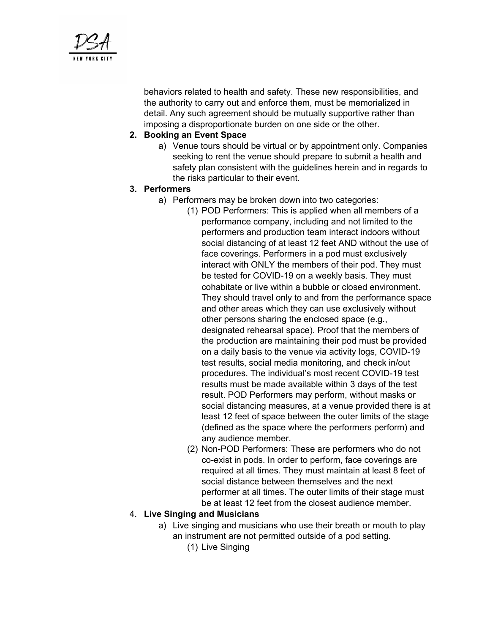

behaviors related to health and safety. These new responsibilities, and the authority to carry out and enforce them, must be memorialized in detail. Any such agreement should be mutually supportive rather than imposing a disproportionate burden on one side or the other.

#### **2. Booking an Event Space**

a) Venue tours should be virtual or by appointment only. Companies seeking to rent the venue should prepare to submit a health and safety plan consistent with the guidelines herein and in regards to the risks particular to their event.

#### **3. Performers**

- a) Performers may be broken down into two categories:
	- (1) POD Performers: This is applied when all members of a performance company, including and not limited to the performers and production team interact indoors without social distancing of at least 12 feet AND without the use of face coverings. Performers in a pod must exclusively interact with ONLY the members of their pod. They must be tested for COVID-19 on a weekly basis. They must cohabitate or live within a bubble or closed environment. They should travel only to and from the performance space and other areas which they can use exclusively without other persons sharing the enclosed space (e.g., designated rehearsal space). Proof that the members of the production are maintaining their pod must be provided on a daily basis to the venue via activity logs, COVID-19 test results, social media monitoring, and check in/out procedures. The individual's most recent COVID-19 test results must be made available within 3 days of the test result. POD Performers may perform, without masks or social distancing measures, at a venue provided there is at least 12 feet of space between the outer limits of the stage (defined as the space where the performers perform) and any audience member.
	- (2) Non-POD Performers: These are performers who do not co-exist in pods. In order to perform, face coverings are required at all times. They must maintain at least 8 feet of social distance between themselves and the next performer at all times. The outer limits of their stage must be at least 12 feet from the closest audience member.

#### 4. **Live Singing and Musicians**

- a) Live singing and musicians who use their breath or mouth to play an instrument are not permitted outside of a pod setting.
	- (1) Live Singing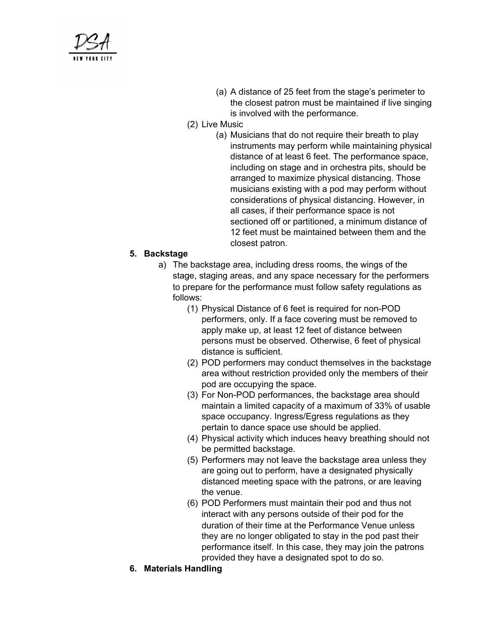

- (a) A distance of 25 feet from the stage's perimeter to the closest patron must be maintained if live singing is involved with the performance.
- (2) Live Music
	- (a) Musicians that do not require their breath to play instruments may perform while maintaining physical distance of at least 6 feet. The performance space, including on stage and in orchestra pits, should be arranged to maximize physical distancing. Those musicians existing with a pod may perform without considerations of physical distancing. However, in all cases, if their performance space is not sectioned off or partitioned, a minimum distance of 12 feet must be maintained between them and the closest patron.

#### **5. Backstage**

- a) The backstage area, including dress rooms, the wings of the stage, staging areas, and any space necessary for the performers to prepare for the performance must follow safety regulations as follows:
	- (1) Physical Distance of 6 feet is required for non-POD performers, only. If a face covering must be removed to apply make up, at least 12 feet of distance between persons must be observed. Otherwise, 6 feet of physical distance is sufficient.
	- (2) POD performers may conduct themselves in the backstage area without restriction provided only the members of their pod are occupying the space.
	- (3) For Non-POD performances, the backstage area should maintain a limited capacity of a maximum of 33% of usable space occupancy. Ingress/Egress regulations as they pertain to dance space use should be applied.
	- (4) Physical activity which induces heavy breathing should not be permitted backstage.
	- (5) Performers may not leave the backstage area unless they are going out to perform, have a designated physically distanced meeting space with the patrons, or are leaving the venue.
	- (6) POD Performers must maintain their pod and thus not interact with any persons outside of their pod for the duration of their time at the Performance Venue unless they are no longer obligated to stay in the pod past their performance itself. In this case, they may join the patrons provided they have a designated spot to do so.
- **6. Materials Handling**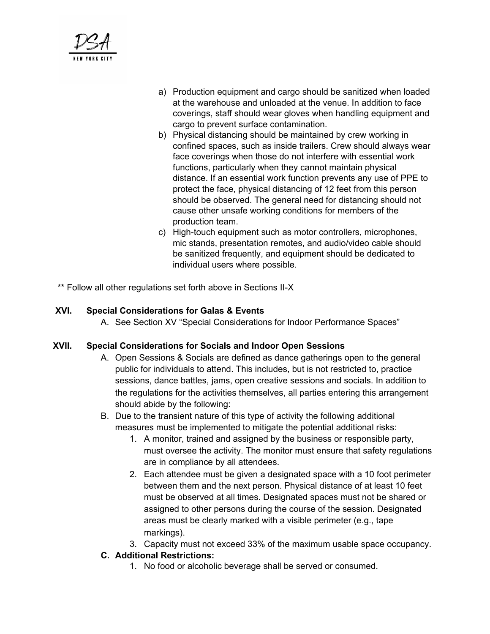

- a) Production equipment and cargo should be sanitized when loaded at the warehouse and unloaded at the venue. In addition to face coverings, staff should wear gloves when handling equipment and cargo to prevent surface contamination.
- b) Physical distancing should be maintained by crew working in confined spaces, such as inside trailers. Crew should always wear face coverings when those do not interfere with essential work functions, particularly when they cannot maintain physical distance. If an essential work function prevents any use of PPE to protect the face, physical distancing of 12 feet from this person should be observed. The general need for distancing should not cause other unsafe working conditions for members of the production team.
- c) High-touch equipment such as motor controllers, microphones, mic stands, presentation remotes, and audio/video cable should be sanitized frequently, and equipment should be dedicated to individual users where possible.
- \*\* Follow all other regulations set forth above in Sections II-X

#### **XVI. Special Considerations for Galas & Events**

A. See Section XV "Special Considerations for Indoor Performance Spaces"

#### **XVII. Special Considerations for Socials and Indoor Open Sessions**

- A. Open Sessions & Socials are defined as dance gatherings open to the general public for individuals to attend. This includes, but is not restricted to, practice sessions, dance battles, jams, open creative sessions and socials. In addition to the regulations for the activities themselves, all parties entering this arrangement should abide by the following:
- B. Due to the transient nature of this type of activity the following additional measures must be implemented to mitigate the potential additional risks:
	- 1. A monitor, trained and assigned by the business or responsible party, must oversee the activity. The monitor must ensure that safety regulations are in compliance by all attendees.
	- 2. Each attendee must be given a designated space with a 10 foot perimeter between them and the next person. Physical distance of at least 10 feet must be observed at all times. Designated spaces must not be shared or assigned to other persons during the course of the session. Designated areas must be clearly marked with a visible perimeter (e.g., tape markings).
	- 3. Capacity must not exceed 33% of the maximum usable space occupancy.

## **C. Additional Restrictions:**

1. No food or alcoholic beverage shall be served or consumed.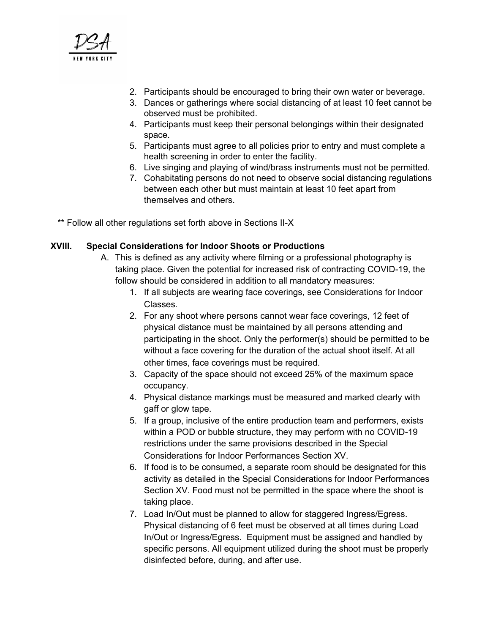

- 2. Participants should be encouraged to bring their own water or beverage.
- 3. Dances or gatherings where social distancing of at least 10 feet cannot be observed must be prohibited.
- 4. Participants must keep their personal belongings within their designated space.
- 5. Participants must agree to all policies prior to entry and must complete a health screening in order to enter the facility.
- 6. Live singing and playing of wind/brass instruments must not be permitted.
- 7. Cohabitating persons do not need to observe social distancing regulations between each other but must maintain at least 10 feet apart from themselves and others.

\*\* Follow all other regulations set forth above in Sections II-X

#### **XVIII. Special Considerations for Indoor Shoots or Productions**

- A. This is defined as any activity where filming or a professional photography is taking place. Given the potential for increased risk of contracting COVID-19, the follow should be considered in addition to all mandatory measures:
	- 1. If all subjects are wearing face coverings, see Considerations for Indoor Classes.
	- 2. For any shoot where persons cannot wear face coverings, 12 feet of physical distance must be maintained by all persons attending and participating in the shoot. Only the performer(s) should be permitted to be without a face covering for the duration of the actual shoot itself. At all other times, face coverings must be required.
	- 3. Capacity of the space should not exceed 25% of the maximum space occupancy.
	- 4. Physical distance markings must be measured and marked clearly with gaff or glow tape.
	- 5. If a group, inclusive of the entire production team and performers, exists within a POD or bubble structure, they may perform with no COVID-19 restrictions under the same provisions described in the Special Considerations for Indoor Performances Section XV.
	- 6. If food is to be consumed, a separate room should be designated for this activity as detailed in the Special Considerations for Indoor Performances Section XV. Food must not be permitted in the space where the shoot is taking place.
	- 7. Load In/Out must be planned to allow for staggered Ingress/Egress. Physical distancing of 6 feet must be observed at all times during Load In/Out or Ingress/Egress. Equipment must be assigned and handled by specific persons. All equipment utilized during the shoot must be properly disinfected before, during, and after use.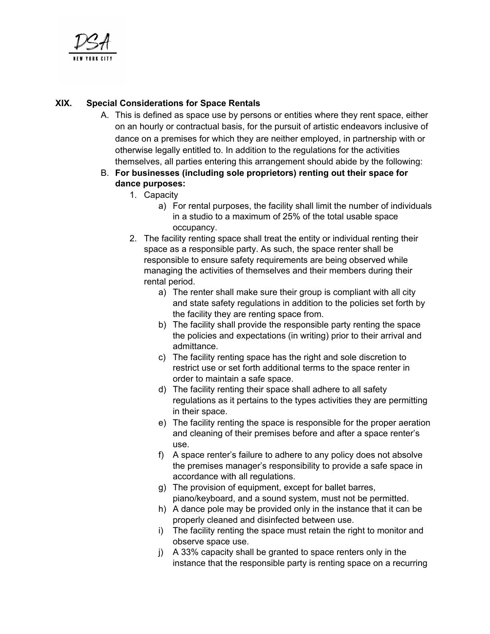

## **XIX. Special Considerations for Space Rentals**

A. This is defined as space use by persons or entities where they rent space, either on an hourly or contractual basis, for the pursuit of artistic endeavors inclusive of dance on a premises for which they are neither employed, in partnership with or otherwise legally entitled to. In addition to the regulations for the activities themselves, all parties entering this arrangement should abide by the following:

#### B. **For businesses (including sole proprietors) renting out their space for dance purposes:**

- 1. Capacity
	- a) For rental purposes, the facility shall limit the number of individuals in a studio to a maximum of 25% of the total usable space occupancy.
- 2. The facility renting space shall treat the entity or individual renting their space as a responsible party. As such, the space renter shall be responsible to ensure safety requirements are being observed while managing the activities of themselves and their members during their rental period.
	- a) The renter shall make sure their group is compliant with all city and state safety regulations in addition to the policies set forth by the facility they are renting space from.
	- b) The facility shall provide the responsible party renting the space the policies and expectations (in writing) prior to their arrival and admittance.
	- c) The facility renting space has the right and sole discretion to restrict use or set forth additional terms to the space renter in order to maintain a safe space.
	- d) The facility renting their space shall adhere to all safety regulations as it pertains to the types activities they are permitting in their space.
	- e) The facility renting the space is responsible for the proper aeration and cleaning of their premises before and after a space renter's use.
	- f) A space renter's failure to adhere to any policy does not absolve the premises manager's responsibility to provide a safe space in accordance with all regulations.
	- g) The provision of equipment, except for ballet barres, piano/keyboard, and a sound system, must not be permitted.
	- h) A dance pole may be provided only in the instance that it can be properly cleaned and disinfected between use.
	- i) The facility renting the space must retain the right to monitor and observe space use.
	- j) A 33% capacity shall be granted to space renters only in the instance that the responsible party is renting space on a recurring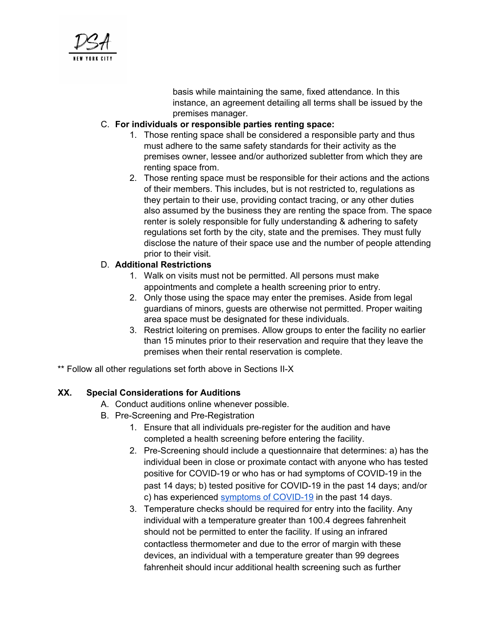

basis while maintaining the same, fixed attendance. In this instance, an agreement detailing all terms shall be issued by the premises manager.

#### C. **For individuals or responsible parties renting space:**

- 1. Those renting space shall be considered a responsible party and thus must adhere to the same safety standards for their activity as the premises owner, lessee and/or authorized subletter from which they are renting space from.
- 2. Those renting space must be responsible for their actions and the actions of their members. This includes, but is not restricted to, regulations as they pertain to their use, providing contact tracing, or any other duties also assumed by the business they are renting the space from. The space renter is solely responsible for fully understanding & adhering to safety regulations set forth by the city, state and the premises. They must fully disclose the nature of their space use and the number of people attending prior to their visit.

#### D. **Additional Restrictions**

- 1. Walk on visits must not be permitted. All persons must make appointments and complete a health screening prior to entry.
- 2. Only those using the space may enter the premises. Aside from legal guardians of minors, guests are otherwise not permitted. Proper waiting area space must be designated for these individuals.
- 3. Restrict loitering on premises. Allow groups to enter the facility no earlier than 15 minutes prior to their reservation and require that they leave the premises when their rental reservation is complete.
- \*\* Follow all other regulations set forth above in Sections II-X

#### **XX. Special Considerations for Auditions**

- A. Conduct auditions online whenever possible.
- B. Pre-Screening and Pre-Registration
	- 1. Ensure that all individuals pre-register for the audition and have completed a health screening before entering the facility.
	- 2. Pre-Screening should include a questionnaire that determines: a) has the individual been in close or proximate contact with anyone who has tested positive for COVID-19 or who has or had symptoms of COVID-19 in the past 14 days; b) tested positive for COVID-19 in the past 14 days; and/or c) has experienced symptoms of [COVID-19](https://www.cdc.gov/coronavirus/2019-ncov/symptoms-testing/symptoms.html) in the past 14 days.
	- 3. Temperature checks should be required for entry into the facility. Any individual with a temperature greater than 100.4 degrees fahrenheit should not be permitted to enter the facility. If using an infrared contactless thermometer and due to the error of margin with these devices, an individual with a temperature greater than 99 degrees fahrenheit should incur additional health screening such as further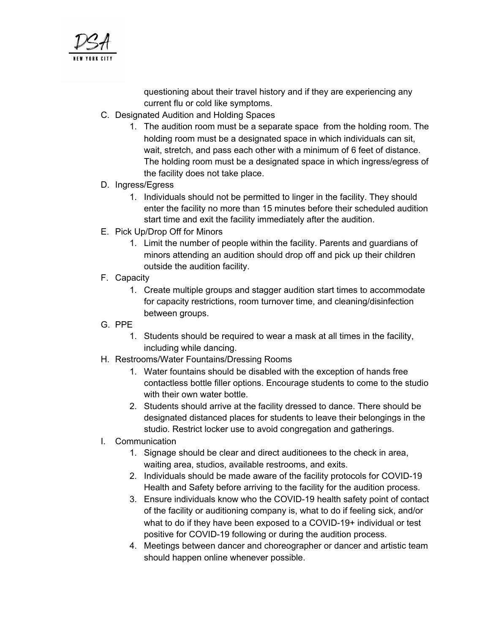

questioning about their travel history and if they are experiencing any current flu or cold like symptoms.

- C. Designated Audition and Holding Spaces
	- 1. The audition room must be a separate space from the holding room. The holding room must be a designated space in which individuals can sit, wait, stretch, and pass each other with a minimum of 6 feet of distance. The holding room must be a designated space in which ingress/egress of the facility does not take place.
- D. Ingress/Egress
	- 1. Individuals should not be permitted to linger in the facility. They should enter the facility no more than 15 minutes before their scheduled audition start time and exit the facility immediately after the audition.
- E. Pick Up/Drop Off for Minors
	- 1. Limit the number of people within the facility. Parents and guardians of minors attending an audition should drop off and pick up their children outside the audition facility.
- F. Capacity
	- 1. Create multiple groups and stagger audition start times to accommodate for capacity restrictions, room turnover time, and cleaning/disinfection between groups.
- G. PPE
	- 1. Students should be required to wear a mask at all times in the facility, including while dancing.
- H. Restrooms/Water Fountains/Dressing Rooms
	- 1. Water fountains should be disabled with the exception of hands free contactless bottle filler options. Encourage students to come to the studio with their own water bottle.
	- 2. Students should arrive at the facility dressed to dance. There should be designated distanced places for students to leave their belongings in the studio. Restrict locker use to avoid congregation and gatherings.
- I. Communication
	- 1. Signage should be clear and direct auditionees to the check in area, waiting area, studios, available restrooms, and exits.
	- 2. Individuals should be made aware of the facility protocols for COVID-19 Health and Safety before arriving to the facility for the audition process.
	- 3. Ensure individuals know who the COVID-19 health safety point of contact of the facility or auditioning company is, what to do if feeling sick, and/or what to do if they have been exposed to a COVID-19+ individual or test positive for COVID-19 following or during the audition process.
	- 4. Meetings between dancer and choreographer or dancer and artistic team should happen online whenever possible.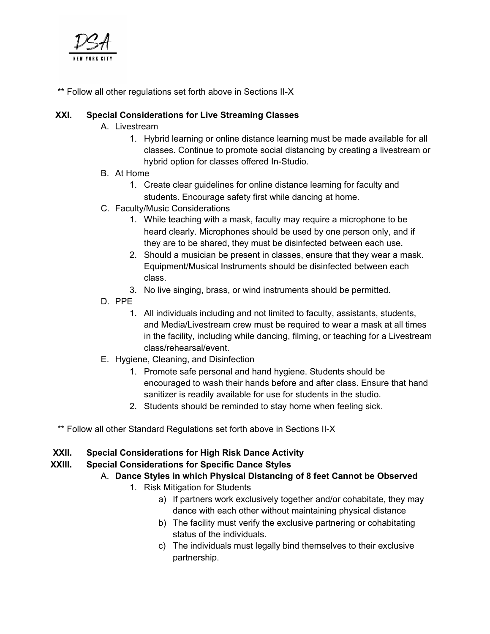

\*\* Follow all other regulations set forth above in Sections II-X

## **XXI. Special Considerations for Live Streaming Classes**

- A. Livestream
	- 1. Hybrid learning or online distance learning must be made available for all classes. Continue to promote social distancing by creating a livestream or hybrid option for classes offered In-Studio.
- B. At Home
	- 1. Create clear guidelines for online distance learning for faculty and students. Encourage safety first while dancing at home.
- C. Faculty/Music Considerations
	- 1. While teaching with a mask, faculty may require a microphone to be heard clearly. Microphones should be used by one person only, and if they are to be shared, they must be disinfected between each use.
	- 2. Should a musician be present in classes, ensure that they wear a mask. Equipment/Musical Instruments should be disinfected between each class.
	- 3. No live singing, brass, or wind instruments should be permitted.
- D. PPE
	- 1. All individuals including and not limited to faculty, assistants, students, and Media/Livestream crew must be required to wear a mask at all times in the facility, including while dancing, filming, or teaching for a Livestream class/rehearsal/event.
- E. Hygiene, Cleaning, and Disinfection
	- 1. Promote safe personal and hand hygiene. Students should be encouraged to wash their hands before and after class. Ensure that hand sanitizer is readily available for use for students in the studio.
	- 2. Students should be reminded to stay home when feeling sick.
- \*\* Follow all other Standard Regulations set forth above in Sections II-X

## **XXII. Special Considerations for High Risk Dance Activity**

## **XXIII. Special Considerations for Specific Dance Styles**

- A. **Dance Styles in which Physical Distancing of 8 feet Cannot be Observed**
	- 1. Risk Mitigation for Students
		- a) If partners work exclusively together and/or cohabitate, they may dance with each other without maintaining physical distance
		- b) The facility must verify the exclusive partnering or cohabitating status of the individuals.
		- c) The individuals must legally bind themselves to their exclusive partnership.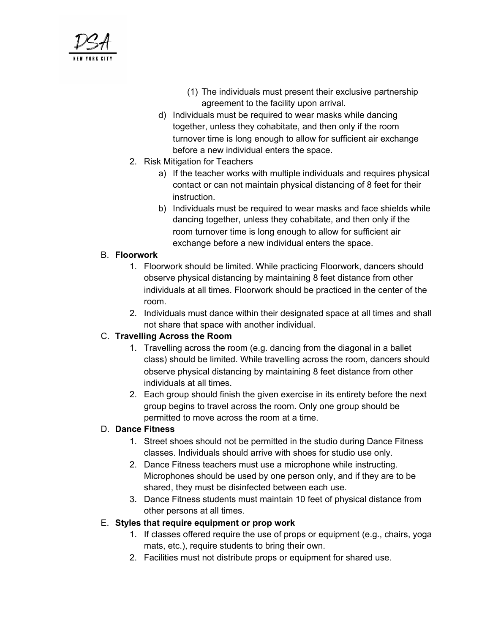

- (1) The individuals must present their exclusive partnership agreement to the facility upon arrival.
- d) Individuals must be required to wear masks while dancing together, unless they cohabitate, and then only if the room turnover time is long enough to allow for sufficient air exchange before a new individual enters the space.
- 2. Risk Mitigation for Teachers
	- a) If the teacher works with multiple individuals and requires physical contact or can not maintain physical distancing of 8 feet for their instruction.
	- b) Individuals must be required to wear masks and face shields while dancing together, unless they cohabitate, and then only if the room turnover time is long enough to allow for sufficient air exchange before a new individual enters the space.

## B. **Floorwork**

- 1. Floorwork should be limited. While practicing Floorwork, dancers should observe physical distancing by maintaining 8 feet distance from other individuals at all times. Floorwork should be practiced in the center of the room.
- 2. Individuals must dance within their designated space at all times and shall not share that space with another individual.

## C. **Travelling Across the Room**

- 1. Travelling across the room (e.g. dancing from the diagonal in a ballet class) should be limited. While travelling across the room, dancers should observe physical distancing by maintaining 8 feet distance from other individuals at all times.
- 2. Each group should finish the given exercise in its entirety before the next group begins to travel across the room. Only one group should be permitted to move across the room at a time.

## D. **Dance Fitness**

- 1. Street shoes should not be permitted in the studio during Dance Fitness classes. Individuals should arrive with shoes for studio use only.
- 2. Dance Fitness teachers must use a microphone while instructing. Microphones should be used by one person only, and if they are to be shared, they must be disinfected between each use.
- 3. Dance Fitness students must maintain 10 feet of physical distance from other persons at all times.

## E. **Styles that require equipment or prop work**

- 1. If classes offered require the use of props or equipment (e.g., chairs, yoga mats, etc.), require students to bring their own.
- 2. Facilities must not distribute props or equipment for shared use.